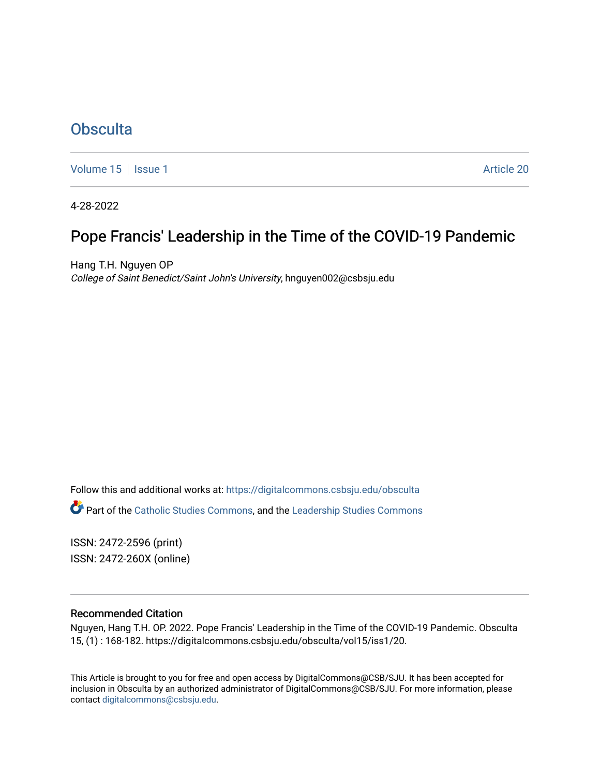# **[Obsculta](https://digitalcommons.csbsju.edu/obsculta)**

[Volume 15](https://digitalcommons.csbsju.edu/obsculta/vol15) | [Issue 1](https://digitalcommons.csbsju.edu/obsculta/vol15/iss1) Article 20

4-28-2022

# Pope Francis' Leadership in the Time of the COVID-19 Pandemic

Hang T.H. Nguyen OP College of Saint Benedict/Saint John's University, hnguyen002@csbsju.edu

Follow this and additional works at: [https://digitalcommons.csbsju.edu/obsculta](https://digitalcommons.csbsju.edu/obsculta?utm_source=digitalcommons.csbsju.edu%2Fobsculta%2Fvol15%2Fiss1%2F20&utm_medium=PDF&utm_campaign=PDFCoverPages) 

**Part of the [Catholic Studies Commons](http://network.bepress.com/hgg/discipline/1294?utm_source=digitalcommons.csbsju.edu%2Fobsculta%2Fvol15%2Fiss1%2F20&utm_medium=PDF&utm_campaign=PDFCoverPages), and the Leadership Studies Commons** 

ISSN: 2472-2596 (print) ISSN: 2472-260X (online)

#### Recommended Citation

Nguyen, Hang T.H. OP. 2022. Pope Francis' Leadership in the Time of the COVID-19 Pandemic. Obsculta 15, (1) : 168-182. https://digitalcommons.csbsju.edu/obsculta/vol15/iss1/20.

This Article is brought to you for free and open access by DigitalCommons@CSB/SJU. It has been accepted for inclusion in Obsculta by an authorized administrator of DigitalCommons@CSB/SJU. For more information, please contact [digitalcommons@csbsju.edu.](mailto:digitalcommons@csbsju.edu)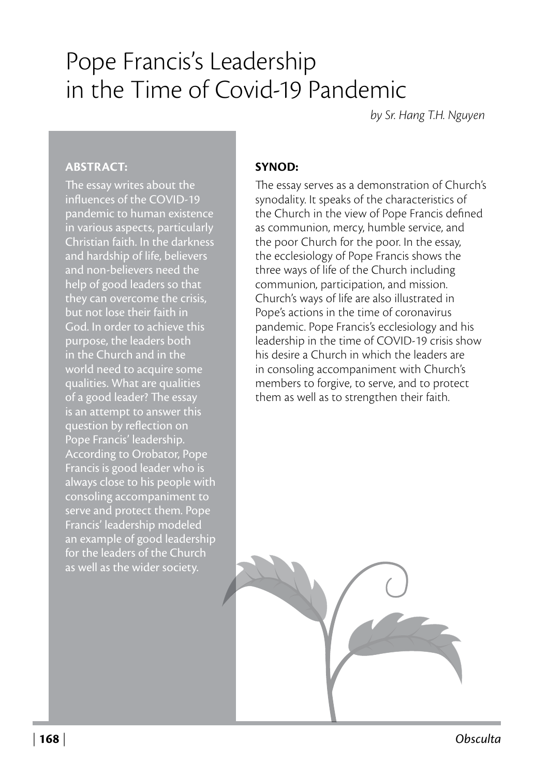# Pope Francis's Leadership in the Time of Covid-19 Pandemic

*by Sr. Hang T.H. Nguyen*

#### **ABSTRACT:**

The essay writes about the influences of the COVID-19 pandemic to human existence in various aspects, particularly Christian faith. In the darkness and hardship of life, believers and non-believers need the help of good leaders so that they can overcome the crisis, but not lose their faith in God. In order to achieve this purpose, the leaders both in the Church and in the world need to acquire some qualities. What are qualities of a good leader? The essay is an attempt to answer this question by reflection on Pope Francis' leadership. According to Orobator, Pope Francis is good leader who is always close to his people with consoling accompaniment to serve and protect them. Pope Francis' leadership modeled an example of good leadership for the leaders of the Church as well as the wider society.

#### **SYNOD:**

The essay serves as a demonstration of Church's synodality. It speaks of the characteristics of the Church in the view of Pope Francis defined as communion, mercy, humble service, and the poor Church for the poor. In the essay, the ecclesiology of Pope Francis shows the three ways of life of the Church including communion, participation, and mission. Church's ways of life are also illustrated in Pope's actions in the time of coronavirus pandemic. Pope Francis's ecclesiology and his leadership in the time of COVID-19 crisis show his desire a Church in which the leaders are in consoling accompaniment with Church's members to forgive, to serve, and to protect them as well as to strengthen their faith.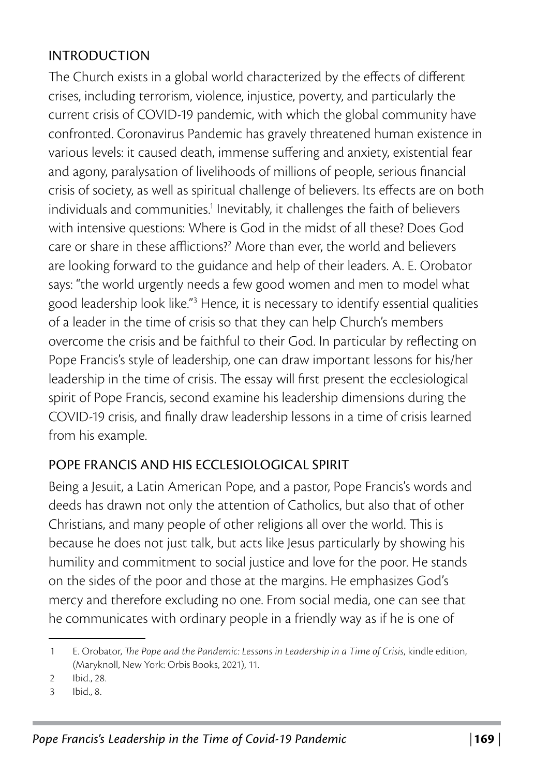#### INTRODUCTION

The Church exists in a global world characterized by the effects of different crises, including terrorism, violence, injustice, poverty, and particularly the current crisis of COVID-19 pandemic, with which the global community have confronted. Coronavirus Pandemic has gravely threatened human existence in various levels: it caused death, immense suffering and anxiety, existential fear and agony, paralysation of livelihoods of millions of people, serious financial crisis of society, as well as spiritual challenge of believers. Its effects are on both individuals and communities.<sup>1</sup> Inevitably, it challenges the faith of believers with intensive questions: Where is God in the midst of all these? Does God care or share in these afflictions?<sup>2</sup> More than ever, the world and believers are looking forward to the guidance and help of their leaders. A. E. Orobator says: "the world urgently needs a few good women and men to model what good leadership look like."<sup>3</sup> Hence, it is necessary to identify essential qualities of a leader in the time of crisis so that they can help Church's members overcome the crisis and be faithful to their God. In particular by reflecting on Pope Francis's style of leadership, one can draw important lessons for his/her leadership in the time of crisis. The essay will first present the ecclesiological spirit of Pope Francis, second examine his leadership dimensions during the COVID-19 crisis, and finally draw leadership lessons in a time of crisis learned from his example.

### POPE FRANCIS AND HIS ECCLESIOLOGICAL SPIRIT

Being a Jesuit, a Latin American Pope, and a pastor, Pope Francis's words and deeds has drawn not only the attention of Catholics, but also that of other Christians, and many people of other religions all over the world. This is because he does not just talk, but acts like Jesus particularly by showing his humility and commitment to social justice and love for the poor. He stands on the sides of the poor and those at the margins. He emphasizes God's mercy and therefore excluding no one. From social media, one can see that he communicates with ordinary people in a friendly way as if he is one of

<sup>1</sup> E. Orobator, *The Pope and the Pandemic: Lessons in Leadership in a Time of Crisis*, kindle edition, (Maryknoll, New York: Orbis Books, 2021), 11.

<sup>2</sup> Ibid., 28.

<sup>3</sup> Ibid., 8.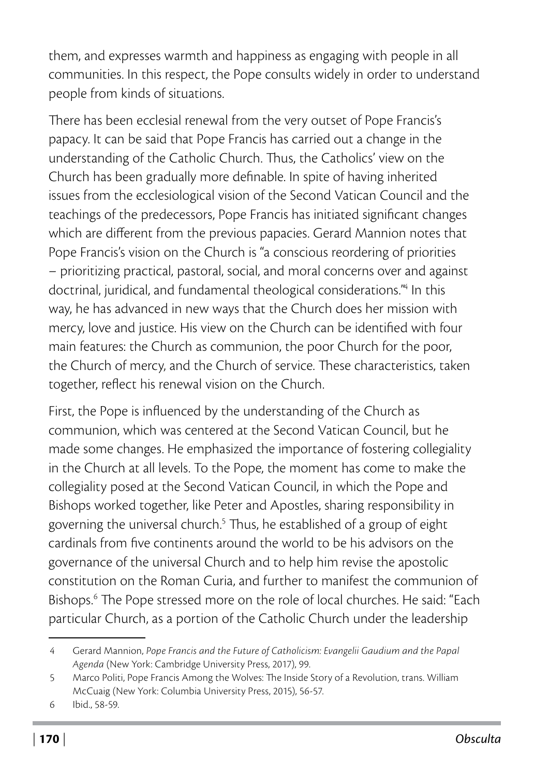them, and expresses warmth and happiness as engaging with people in all communities. In this respect, the Pope consults widely in order to understand people from kinds of situations.

There has been ecclesial renewal from the very outset of Pope Francis's papacy. It can be said that Pope Francis has carried out a change in the understanding of the Catholic Church. Thus, the Catholics' view on the Church has been gradually more definable. In spite of having inherited issues from the ecclesiological vision of the Second Vatican Council and the teachings of the predecessors, Pope Francis has initiated significant changes which are different from the previous papacies. Gerard Mannion notes that Pope Francis's vision on the Church is "a conscious reordering of priorities – prioritizing practical, pastoral, social, and moral concerns over and against doctrinal, juridical, and fundamental theological considerations."4 In this way, he has advanced in new ways that the Church does her mission with mercy, love and justice. His view on the Church can be identified with four main features: the Church as communion, the poor Church for the poor, the Church of mercy, and the Church of service. These characteristics, taken together, reflect his renewal vision on the Church.

First, the Pope is influenced by the understanding of the Church as communion, which was centered at the Second Vatican Council, but he made some changes. He emphasized the importance of fostering collegiality in the Church at all levels. To the Pope, the moment has come to make the collegiality posed at the Second Vatican Council, in which the Pope and Bishops worked together, like Peter and Apostles, sharing responsibility in governing the universal church.<sup>5</sup> Thus, he established of a group of eight cardinals from five continents around the world to be his advisors on the governance of the universal Church and to help him revise the apostolic constitution on the Roman Curia, and further to manifest the communion of Bishops.6 The Pope stressed more on the role of local churches. He said: "Each particular Church, as a portion of the Catholic Church under the leadership

<sup>4</sup> Gerard Mannion, *Pope Francis and the Future of Catholicism: Evangelii Gaudium and the Papal Agenda* (New York: Cambridge University Press, 2017), 99.

<sup>5</sup> Marco Politi, Pope Francis Among the Wolves: The Inside Story of a Revolution, trans. William McCuaig (New York: Columbia University Press, 2015), 56-57.

<sup>6</sup> Ibid., 58-59.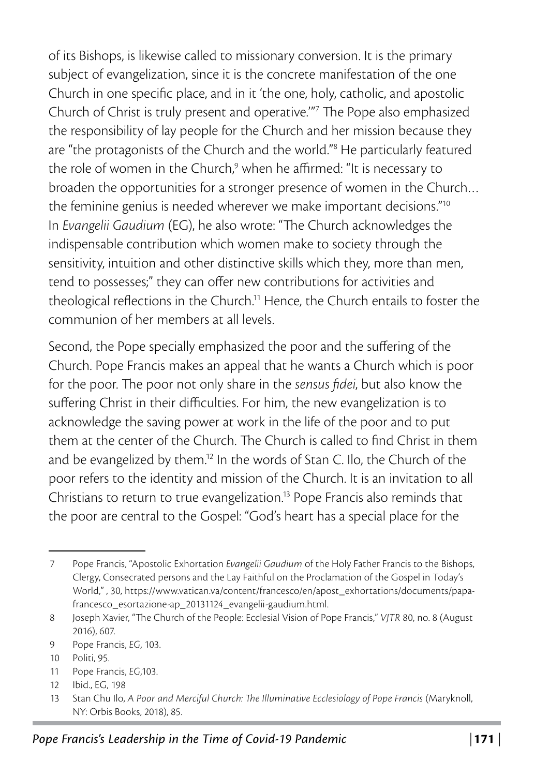of its Bishops, is likewise called to missionary conversion. It is the primary subject of evangelization, since it is the concrete manifestation of the one Church in one specific place, and in it 'the one, holy, catholic, and apostolic Church of Christ is truly present and operative.'"7 The Pope also emphasized the responsibility of lay people for the Church and her mission because they are "the protagonists of the Church and the world."<sup>8</sup> He particularly featured the role of women in the Church,<sup>9</sup> when he affirmed: "It is necessary to broaden the opportunities for a stronger presence of women in the Church… the feminine genius is needed wherever we make important decisions."10 In *Evangelii Gaudium* (EG), he also wrote: "The Church acknowledges the indispensable contribution which women make to society through the sensitivity, intuition and other distinctive skills which they, more than men, tend to possesses;" they can offer new contributions for activities and theological reflections in the Church.11 Hence, the Church entails to foster the communion of her members at all levels.

Second, the Pope specially emphasized the poor and the suffering of the Church. Pope Francis makes an appeal that he wants a Church which is poor for the poor. The poor not only share in the *sensus fidei*, but also know the suffering Christ in their difficulties. For him, the new evangelization is to acknowledge the saving power at work in the life of the poor and to put them at the center of the Church. The Church is called to find Christ in them and be evangelized by them.12 In the words of Stan C. Ilo, the Church of the poor refers to the identity and mission of the Church. It is an invitation to all Christians to return to true evangelization.13 Pope Francis also reminds that the poor are central to the Gospel: "God's heart has a special place for the

11 Pope Francis, *EG*,103.

<sup>7</sup> Pope Francis, "Apostolic Exhortation *Evangelii Gaudium* of the Holy Father Francis to the Bishops, Clergy, Consecrated persons and the Lay Faithful on the Proclamation of the Gospel in Today's World," , 30, [https://www.vatican.va/content/francesco/en/apost\\_exhortations/documents/papa](https://www.vatican.va/content/francesco/en/apost_exhortations/documents/papa-francesco_esortazione-ap_20131124_evangelii-gaudium.html)[francesco\\_esortazione-ap\\_20131124\\_evangelii-gaudium.html.](https://www.vatican.va/content/francesco/en/apost_exhortations/documents/papa-francesco_esortazione-ap_20131124_evangelii-gaudium.html)

<sup>8</sup> Joseph Xavier, "The Church of the People: Ecclesial Vision of Pope Francis," *VJTR* 80, no. 8 (August 2016), 607.

<sup>9</sup> Pope Francis, *EG*, 103.

<sup>10</sup> Politi, 95.

<sup>12</sup> Ibid., EG, 198

<sup>13</sup> Stan Chu Ilo, *A Poor and Merciful Church: The Illuminative Ecclesiology of Pope Francis* (Maryknoll, NY: Orbis Books, 2018), 85.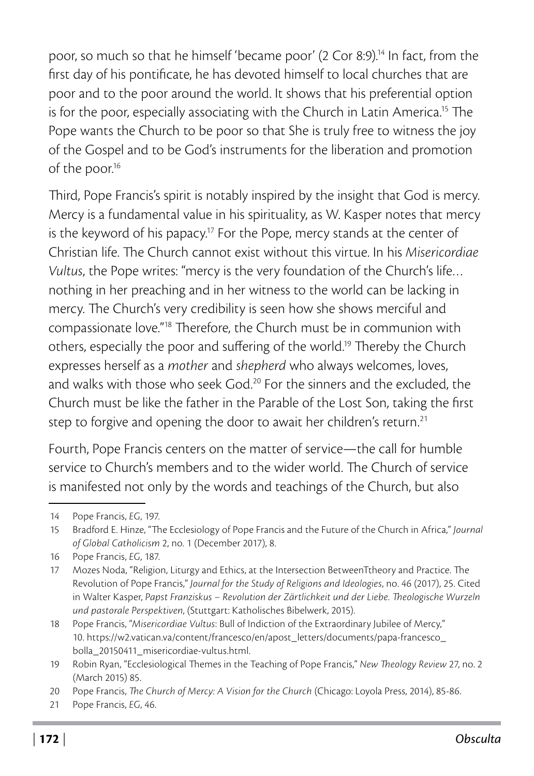poor, so much so that he himself 'became poor' (2 Cor 8:9).14 In fact, from the first day of his pontificate, he has devoted himself to local churches that are poor and to the poor around the world. It shows that his preferential option is for the poor, especially associating with the Church in Latin America.<sup>15</sup> The Pope wants the Church to be poor so that She is truly free to witness the joy of the Gospel and to be God's instruments for the liberation and promotion of the poor.<sup>16</sup>

Third, Pope Francis's spirit is notably inspired by the insight that God is mercy. Mercy is a fundamental value in his spirituality, as W. Kasper notes that mercy is the keyword of his papacy.<sup>17</sup> For the Pope, mercy stands at the center of Christian life. The Church cannot exist without this virtue. In his *Misericordiae Vultus*, the Pope writes: "mercy is the very foundation of the Church's life… nothing in her preaching and in her witness to the world can be lacking in mercy. The Church's very credibility is seen how she shows merciful and compassionate love."18 Therefore, the Church must be in communion with others, especially the poor and suffering of the world.19 Thereby the Church expresses herself as a *mother* and *shepherd* who always welcomes, loves, and walks with those who seek God.<sup>20</sup> For the sinners and the excluded, the Church must be like the father in the Parable of the Lost Son, taking the first step to forgive and opening the door to await her children's return.<sup>21</sup>

Fourth, Pope Francis centers on the matter of service—the call for humble service to Church's members and to the wider world. The Church of service is manifested not only by the words and teachings of the Church, but also

<sup>14</sup> Pope Francis, *EG*, 197.

<sup>15</sup> Bradford E. Hinze, "The Ecclesiology of Pope Francis and the Future of the Church in Africa," *Journal of Global Catholicism* 2, no. 1 (December 2017), 8.

<sup>16</sup> Pope Francis, *EG*, 187.

<sup>17</sup> Mozes Noda, "Religion, Liturgy and Ethics, at the Intersection BetweenTtheory and Practice. The Revolution of Pope Francis," *Journal for the Study of Religions and Ideologies*, no. 46 (2017), 25. Cited in Walter Kasper, *Papst Franziskus – Revolution der Zärtlichkeit und der Liebe. Theologische Wurzeln und pastorale Perspektiven*, (Stuttgart: Katholisches Bibelwerk, 2015).

<sup>18</sup> Pope Francis, "*Misericordiae Vultus*: Bull of Indiction of the Extraordinary Jubilee of Mercy," 10. [https://w2.vatican.va/content/francesco/en/apost\\_letters/documents/papa-francesco\\_](https://w2.vatican.va/content/francesco/en/apost_letters/documents/papa-francesco_bolla_20150411_misericordiae-vultus.html) [bolla\\_20150411\\_misericordiae-vultus.html.](https://w2.vatican.va/content/francesco/en/apost_letters/documents/papa-francesco_bolla_20150411_misericordiae-vultus.html)

<sup>19</sup> Robin Ryan, "Ecclesiological Themes in the Teaching of Pope Francis," *New Theology Review* 27, no. 2 (March 2015) 85.

<sup>20</sup> Pope Francis, *The Church of Mercy: A Vision for the Church* (Chicago: Loyola Press, 2014), 85-86.

<sup>21</sup> Pope Francis, *EG*, 46.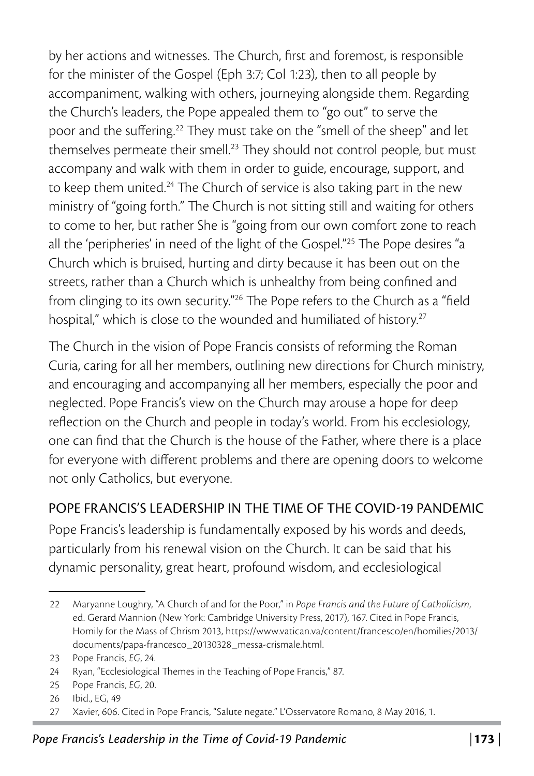by her actions and witnesses. The Church, first and foremost, is responsible for the minister of the Gospel (Eph 3:7; Col 1:23), then to all people by accompaniment, walking with others, journeying alongside them. Regarding the Church's leaders, the Pope appealed them to "go out" to serve the poor and the suffering.<sup>22</sup> They must take on the "smell of the sheep" and let themselves permeate their smell.<sup>23</sup> They should not control people, but must accompany and walk with them in order to guide, encourage, support, and to keep them united.<sup>24</sup> The Church of service is also taking part in the new ministry of "going forth." The Church is not sitting still and waiting for others to come to her, but rather She is "going from our own comfort zone to reach all the 'peripheries' in need of the light of the Gospel."25 The Pope desires "a Church which is bruised, hurting and dirty because it has been out on the streets, rather than a Church which is unhealthy from being confined and from clinging to its own security."26 The Pope refers to the Church as a "field hospital," which is close to the wounded and humiliated of history.<sup>27</sup>

The Church in the vision of Pope Francis consists of reforming the Roman Curia, caring for all her members, outlining new directions for Church ministry, and encouraging and accompanying all her members, especially the poor and neglected. Pope Francis's view on the Church may arouse a hope for deep reflection on the Church and people in today's world. From his ecclesiology, one can find that the Church is the house of the Father, where there is a place for everyone with different problems and there are opening doors to welcome not only Catholics, but everyone.

### POPE FRANCIS'S LEADERSHIP IN THE TIME OF THE COVID-19 PANDEMIC

Pope Francis's leadership is fundamentally exposed by his words and deeds, particularly from his renewal vision on the Church. It can be said that his dynamic personality, great heart, profound wisdom, and ecclesiological

<sup>22</sup> Maryanne Loughry, "A Church of and for the Poor," in *Pope Francis and the Future of Catholicism*, ed. Gerard Mannion (New York: Cambridge University Press, 2017), 167. Cited in Pope Francis, Homily for the Mass of Chrism 2013, [https://www.vatican.va/content/francesco/en/homilies/2013/](https://www.vatican.va/content/francesco/en/homilies/2013/documents/papa-francesco_20130328_messa-crismale.html) [documents/papa-francesco\\_20130328\\_messa-crismale.html](https://www.vatican.va/content/francesco/en/homilies/2013/documents/papa-francesco_20130328_messa-crismale.html).

<sup>23</sup> Pope Francis, *EG*, 24.

<sup>24</sup> Ryan, "Ecclesiological Themes in the Teaching of Pope Francis," 87.

<sup>25</sup> Pope Francis, *EG*, 20.

<sup>26</sup> Ibid., EG, 49

<sup>27</sup> Xavier, 606. Cited in Pope Francis, "Salute negate." L'Osservatore Romano, 8 May 2016, 1.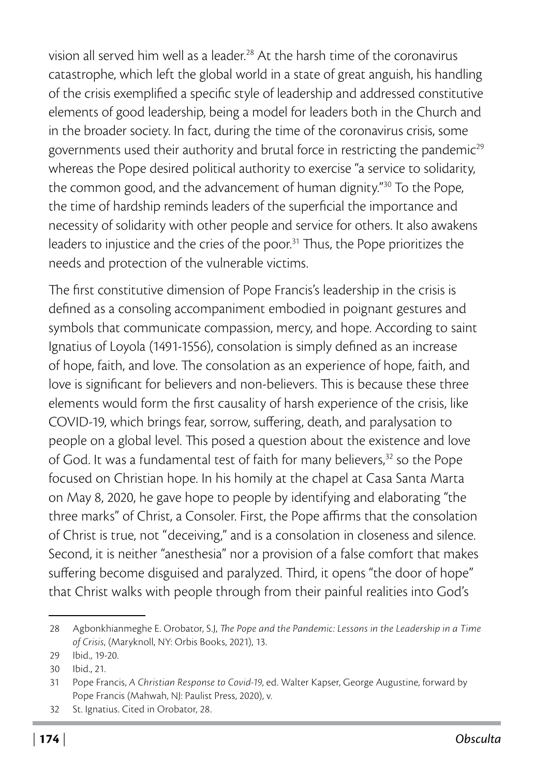vision all served him well as a leader.28 At the harsh time of the coronavirus catastrophe, which left the global world in a state of great anguish, his handling of the crisis exemplified a specific style of leadership and addressed constitutive elements of good leadership, being a model for leaders both in the Church and in the broader society. In fact, during the time of the coronavirus crisis, some governments used their authority and brutal force in restricting the pandemic<sup>29</sup> whereas the Pope desired political authority to exercise "a service to solidarity, the common good, and the advancement of human dignity."30 To the Pope, the time of hardship reminds leaders of the superficial the importance and necessity of solidarity with other people and service for others. It also awakens leaders to injustice and the cries of the poor.<sup>31</sup> Thus, the Pope prioritizes the needs and protection of the vulnerable victims.

The first constitutive dimension of Pope Francis's leadership in the crisis is defined as a consoling accompaniment embodied in poignant gestures and symbols that communicate compassion, mercy, and hope. According to saint Ignatius of Loyola (1491-1556), consolation is simply defined as an increase of hope, faith, and love. The consolation as an experience of hope, faith, and love is significant for believers and non-believers. This is because these three elements would form the first causality of harsh experience of the crisis, like COVID-19, which brings fear, sorrow, suffering, death, and paralysation to people on a global level. This posed a question about the existence and love of God. It was a fundamental test of faith for many believers,<sup>32</sup> so the Pope focused on Christian hope. In his homily at the chapel at Casa Santa Marta on May 8, 2020, he gave hope to people by identifying and elaborating "the three marks" of Christ, a Consoler. First, the Pope affirms that the consolation of Christ is true, not "deceiving," and is a consolation in closeness and silence. Second, it is neither "anesthesia" nor a provision of a false comfort that makes suffering become disguised and paralyzed. Third, it opens "the door of hope" that Christ walks with people through from their painful realities into God's

<sup>28</sup> Agbonkhianmeghe E. Orobator, S.J, *The Pope and the Pandemic: Lessons in the Leadership in a Time of Crisis*, (Maryknoll, NY: Orbis Books, 2021), 13.

<sup>29</sup> Ibid., 19-20.

<sup>30</sup> Ibid., 21.

<sup>31</sup> Pope Francis, *A Christian Response to Covid-19*, ed. Walter Kapser, George Augustine, forward by Pope Francis (Mahwah, NJ: Paulist Press, 2020), v.

<sup>32</sup> St. Ignatius. Cited in Orobator, 28.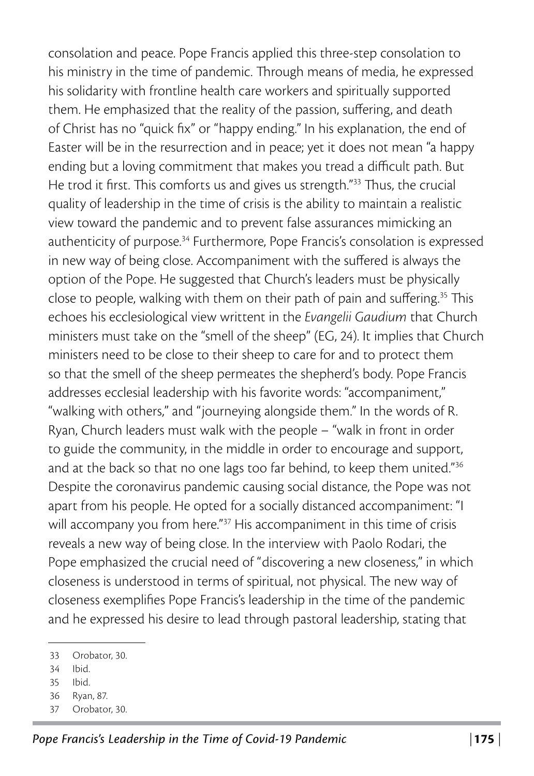consolation and peace. Pope Francis applied this three-step consolation to his ministry in the time of pandemic. Through means of media, he expressed his solidarity with frontline health care workers and spiritually supported them. He emphasized that the reality of the passion, suffering, and death of Christ has no "quick fix" or "happy ending." In his explanation, the end of Easter will be in the resurrection and in peace; yet it does not mean "a happy ending but a loving commitment that makes you tread a difficult path. But He trod it first. This comforts us and gives us strength."33 Thus, the crucial quality of leadership in the time of crisis is the ability to maintain a realistic view toward the pandemic and to prevent false assurances mimicking an authenticity of purpose.<sup>34</sup> Furthermore, Pope Francis's consolation is expressed in new way of being close. Accompaniment with the suffered is always the option of the Pope. He suggested that Church's leaders must be physically close to people, walking with them on their path of pain and suffering.<sup>35</sup> This echoes his ecclesiological view writtent in the *Evangelii Gaudium* that Church ministers must take on the "smell of the sheep" (EG, 24). It implies that Church ministers need to be close to their sheep to care for and to protect them so that the smell of the sheep permeates the shepherd's body. Pope Francis addresses ecclesial leadership with his favorite words: "accompaniment," "walking with others," and "journeying alongside them." In the words of R. Ryan, Church leaders must walk with the people – "walk in front in order to guide the community, in the middle in order to encourage and support, and at the back so that no one lags too far behind, to keep them united."<sup>36</sup> Despite the coronavirus pandemic causing social distance, the Pope was not apart from his people. He opted for a socially distanced accompaniment: "I will accompany you from here."<sup>37</sup> His accompaniment in this time of crisis reveals a new way of being close. In the interview with Paolo Rodari, the Pope emphasized the crucial need of "discovering a new closeness," in which closeness is understood in terms of spiritual, not physical. The new way of closeness exemplifies Pope Francis's leadership in the time of the pandemic and he expressed his desire to lead through pastoral leadership, stating that

37 Orobator, 30.

<sup>33</sup> Orobator, 30.

<sup>34</sup> Ibid.

<sup>35</sup> Ibid.

<sup>36</sup> Ryan, 87.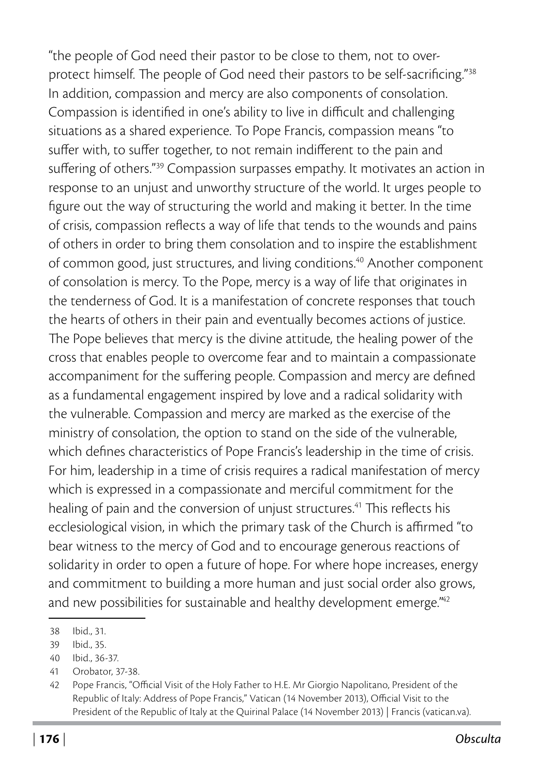"the people of God need their pastor to be close to them, not to overprotect himself. The people of God need their pastors to be self-sacrificing."38 In addition, compassion and mercy are also components of consolation. Compassion is identified in one's ability to live in difficult and challenging situations as a shared experience. To Pope Francis, compassion means "to suffer with, to suffer together, to not remain indifferent to the pain and suffering of others."39 Compassion surpasses empathy. It motivates an action in response to an unjust and unworthy structure of the world. It urges people to figure out the way of structuring the world and making it better. In the time of crisis, compassion reflects a way of life that tends to the wounds and pains of others in order to bring them consolation and to inspire the establishment of common good, just structures, and living conditions.40 Another component of consolation is mercy. To the Pope, mercy is a way of life that originates in the tenderness of God. It is a manifestation of concrete responses that touch the hearts of others in their pain and eventually becomes actions of justice. The Pope believes that mercy is the divine attitude, the healing power of the cross that enables people to overcome fear and to maintain a compassionate accompaniment for the suffering people. Compassion and mercy are defined as a fundamental engagement inspired by love and a radical solidarity with the vulnerable. Compassion and mercy are marked as the exercise of the ministry of consolation, the option to stand on the side of the vulnerable, which defines characteristics of Pope Francis's leadership in the time of crisis. For him, leadership in a time of crisis requires a radical manifestation of mercy which is expressed in a compassionate and merciful commitment for the healing of pain and the conversion of unjust structures.<sup>41</sup> This reflects his ecclesiological vision, in which the primary task of the Church is affirmed "to bear witness to the mercy of God and to encourage generous reactions of solidarity in order to open a future of hope. For where hope increases, energy and commitment to building a more human and just social order also grows, and new possibilities for sustainable and healthy development emerge.<sup>"42</sup>

<sup>38</sup> Ibid., 31.

<sup>39</sup> Ibid., 35.

<sup>40</sup> Ibid., 36-37.

<sup>41</sup> Orobator, 37-38.

<sup>42</sup> Pope Francis, "Official Visit of the Holy Father to H.E. Mr Giorgio Napolitano, President of the Republic of Italy: Address of Pope Francis," Vatican (14 November 2013), [Official Visit to the](https://www.vatican.va/content/francesco/en/speeches/2013/november/documents/papa-francesco_20131114_presidente-repubblica-italiana.html)  [President of the Republic of Italy at the Quirinal Palace \(14 November 2013\) | Francis \(vatican.va\)](https://www.vatican.va/content/francesco/en/speeches/2013/november/documents/papa-francesco_20131114_presidente-repubblica-italiana.html).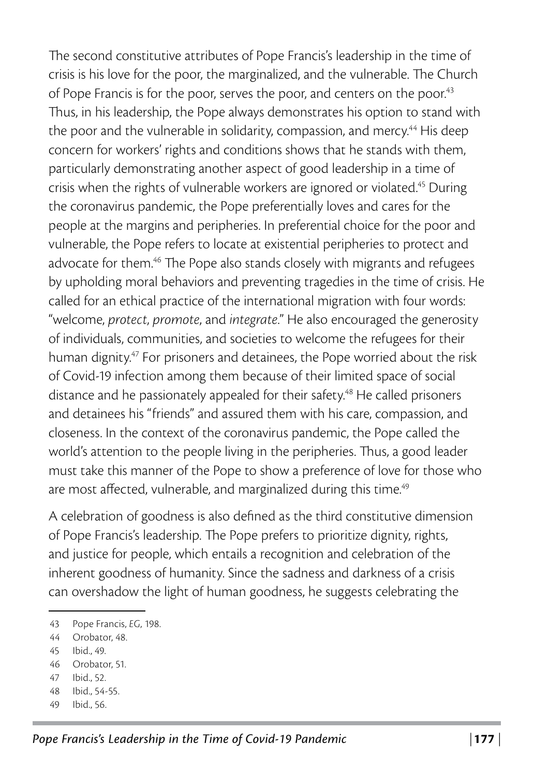The second constitutive attributes of Pope Francis's leadership in the time of crisis is his love for the poor, the marginalized, and the vulnerable. The Church of Pope Francis is for the poor, serves the poor, and centers on the poor.<sup>43</sup> Thus, in his leadership, the Pope always demonstrates his option to stand with the poor and the vulnerable in solidarity, compassion, and mercy.<sup>44</sup> His deep concern for workers' rights and conditions shows that he stands with them, particularly demonstrating another aspect of good leadership in a time of crisis when the rights of vulnerable workers are ignored or violated.<sup>45</sup> During the coronavirus pandemic, the Pope preferentially loves and cares for the people at the margins and peripheries. In preferential choice for the poor and vulnerable, the Pope refers to locate at existential peripheries to protect and advocate for them.46 The Pope also stands closely with migrants and refugees by upholding moral behaviors and preventing tragedies in the time of crisis. He called for an ethical practice of the international migration with four words: "welcome, *protect*, *promote*, and *integrate*." He also encouraged the generosity of individuals, communities, and societies to welcome the refugees for their human dignity.<sup>47</sup> For prisoners and detainees, the Pope worried about the risk of Covid-19 infection among them because of their limited space of social distance and he passionately appealed for their safety.<sup>48</sup> He called prisoners and detainees his "friends" and assured them with his care, compassion, and closeness. In the context of the coronavirus pandemic, the Pope called the world's attention to the people living in the peripheries. Thus, a good leader must take this manner of the Pope to show a preference of love for those who are most affected, vulnerable, and marginalized during this time.<sup>49</sup>

A celebration of goodness is also defined as the third constitutive dimension of Pope Francis's leadership. The Pope prefers to prioritize dignity, rights, and justice for people, which entails a recognition and celebration of the inherent goodness of humanity. Since the sadness and darkness of a crisis can overshadow the light of human goodness, he suggests celebrating the

- 47 Ibid., 52.
- 48 Ibid., 54-55.
- 49 Ibid., 56.

<sup>43</sup> Pope Francis, *EG*, 198.

<sup>44</sup> Orobator, 48.

<sup>45</sup> Ibid., 49.

<sup>46</sup> Orobator, 51.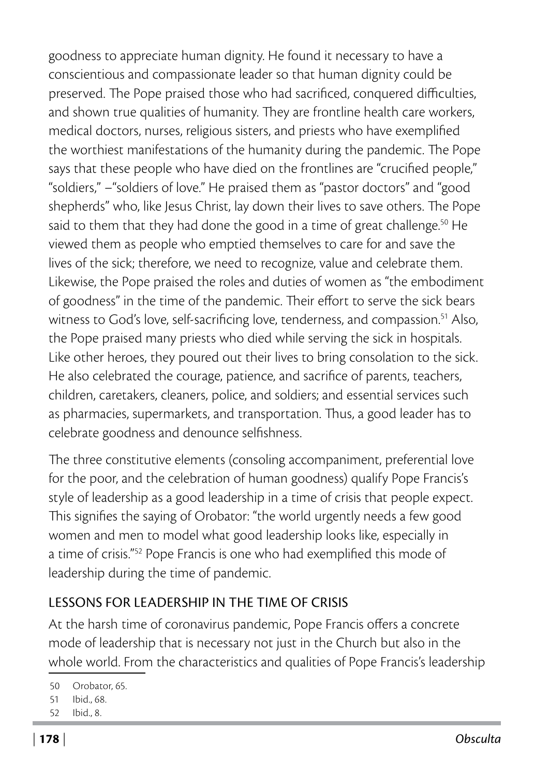goodness to appreciate human dignity. He found it necessary to have a conscientious and compassionate leader so that human dignity could be preserved. The Pope praised those who had sacrificed, conquered difficulties, and shown true qualities of humanity. They are frontline health care workers, medical doctors, nurses, religious sisters, and priests who have exemplified the worthiest manifestations of the humanity during the pandemic. The Pope says that these people who have died on the frontlines are "crucified people," "soldiers," –"soldiers of love." He praised them as "pastor doctors" and "good shepherds" who, like Jesus Christ, lay down their lives to save others. The Pope said to them that they had done the good in a time of great challenge.<sup>50</sup> He viewed them as people who emptied themselves to care for and save the lives of the sick; therefore, we need to recognize, value and celebrate them. Likewise, the Pope praised the roles and duties of women as "the embodiment of goodness" in the time of the pandemic. Their effort to serve the sick bears witness to God's love, self-sacrificing love, tenderness, and compassion.<sup>51</sup> Also, the Pope praised many priests who died while serving the sick in hospitals. Like other heroes, they poured out their lives to bring consolation to the sick. He also celebrated the courage, patience, and sacrifice of parents, teachers, children, caretakers, cleaners, police, and soldiers; and essential services such as pharmacies, supermarkets, and transportation. Thus, a good leader has to celebrate goodness and denounce selfishness.

The three constitutive elements (consoling accompaniment, preferential love for the poor, and the celebration of human goodness) qualify Pope Francis's style of leadership as a good leadership in a time of crisis that people expect. This signifies the saying of Orobator: "the world urgently needs a few good women and men to model what good leadership looks like, especially in a time of crisis."52 Pope Francis is one who had exemplified this mode of leadership during the time of pandemic.

## LESSONS FOR LEADERSHIP IN THE TIME OF CRISIS

At the harsh time of coronavirus pandemic, Pope Francis offers a concrete mode of leadership that is necessary not just in the Church but also in the whole world. From the characteristics and qualities of Pope Francis's leadership

<sup>50</sup> Orobator, 65.

<sup>51</sup> Ibid., 68.

<sup>52</sup> Ibid., 8.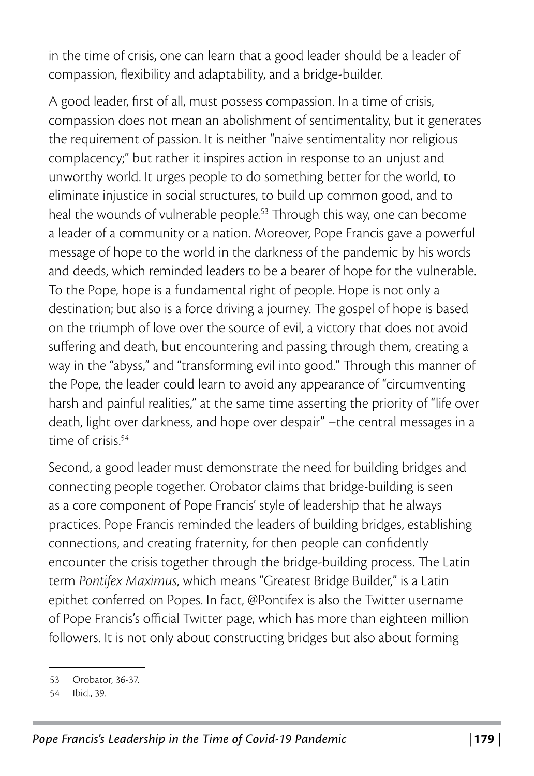in the time of crisis, one can learn that a good leader should be a leader of compassion, flexibility and adaptability, and a bridge-builder.

A good leader, first of all, must possess compassion. In a time of crisis, compassion does not mean an abolishment of sentimentality, but it generates the requirement of passion. It is neither "naive sentimentality nor religious complacency;" but rather it inspires action in response to an unjust and unworthy world. It urges people to do something better for the world, to eliminate injustice in social structures, to build up common good, and to heal the wounds of vulnerable people.<sup>53</sup> Through this way, one can become a leader of a community or a nation. Moreover, Pope Francis gave a powerful message of hope to the world in the darkness of the pandemic by his words and deeds, which reminded leaders to be a bearer of hope for the vulnerable. To the Pope, hope is a fundamental right of people. Hope is not only a destination; but also is a force driving a journey. The gospel of hope is based on the triumph of love over the source of evil, a victory that does not avoid suffering and death, but encountering and passing through them, creating a way in the "abyss," and "transforming evil into good." Through this manner of the Pope, the leader could learn to avoid any appearance of "circumventing harsh and painful realities," at the same time asserting the priority of "life over death, light over darkness, and hope over despair" –the central messages in a time of crisis.<sup>54</sup>

Second, a good leader must demonstrate the need for building bridges and connecting people together. Orobator claims that bridge-building is seen as a core component of Pope Francis' style of leadership that he always practices. Pope Francis reminded the leaders of building bridges, establishing connections, and creating fraternity, for then people can confidently encounter the crisis together through the bridge-building process. The Latin term *Pontifex Maximus*, which means "Greatest Bridge Builder," is a Latin epithet conferred on Popes. In fact, @Pontifex is also the Twitter username of Pope Francis's official Twitter page, which has more than eighteen million followers. It is not only about constructing bridges but also about forming

<sup>53</sup> Orobator, 36-37.

<sup>54</sup> Ibid., 39.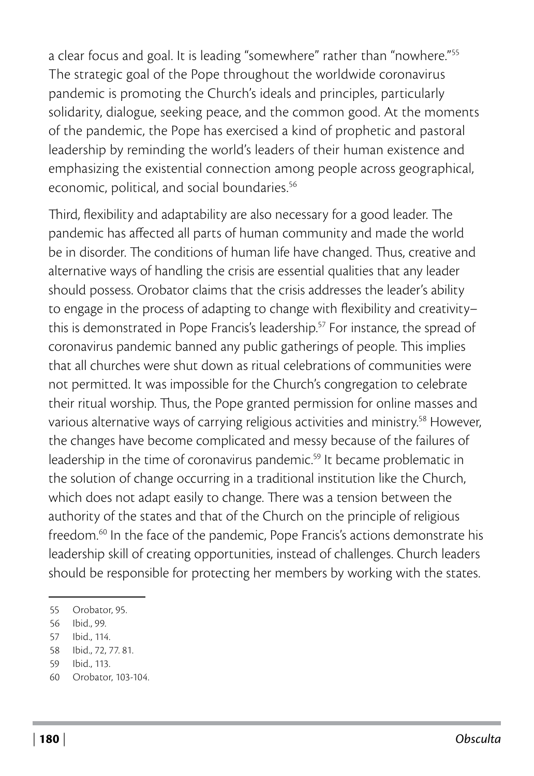a clear focus and goal. It is leading "somewhere" rather than "nowhere."55 The strategic goal of the Pope throughout the worldwide coronavirus pandemic is promoting the Church's ideals and principles, particularly solidarity, dialogue, seeking peace, and the common good. At the moments of the pandemic, the Pope has exercised a kind of prophetic and pastoral leadership by reminding the world's leaders of their human existence and emphasizing the existential connection among people across geographical, economic, political, and social boundaries.<sup>56</sup>

Third, flexibility and adaptability are also necessary for a good leader. The pandemic has affected all parts of human community and made the world be in disorder. The conditions of human life have changed. Thus, creative and alternative ways of handling the crisis are essential qualities that any leader should possess. Orobator claims that the crisis addresses the leader's ability to engage in the process of adapting to change with flexibility and creativity– this is demonstrated in Pope Francis's leadership.<sup>57</sup> For instance, the spread of coronavirus pandemic banned any public gatherings of people. This implies that all churches were shut down as ritual celebrations of communities were not permitted. It was impossible for the Church's congregation to celebrate their ritual worship. Thus, the Pope granted permission for online masses and various alternative ways of carrying religious activities and ministry.58 However, the changes have become complicated and messy because of the failures of leadership in the time of coronavirus pandemic.<sup>59</sup> It became problematic in the solution of change occurring in a traditional institution like the Church, which does not adapt easily to change. There was a tension between the authority of the states and that of the Church on the principle of religious freedom.<sup>60</sup> In the face of the pandemic, Pope Francis's actions demonstrate his leadership skill of creating opportunities, instead of challenges. Church leaders should be responsible for protecting her members by working with the states.

<sup>55</sup> Orobator, 95.

<sup>56</sup> Ibid., 99.

<sup>57</sup> Ibid., 114.

<sup>58</sup> Ibid., 72, 77. 81.

<sup>59</sup> Ibid., 113.

<sup>60</sup> Orobator, 103-104.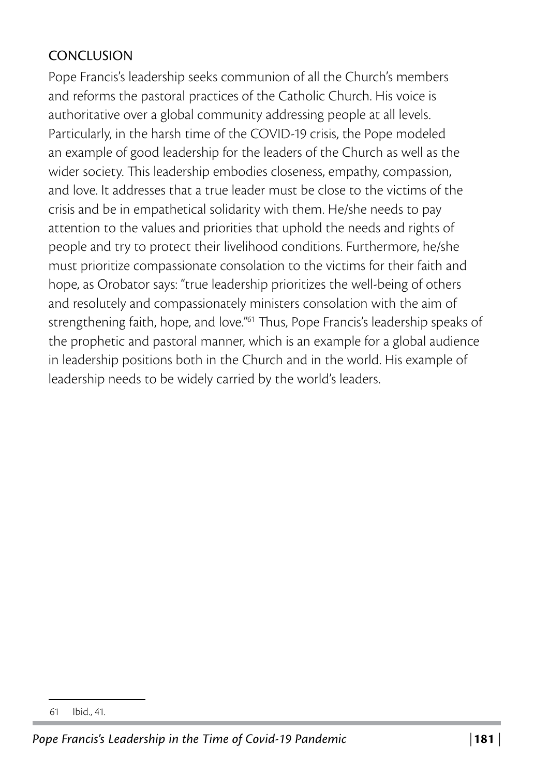## **CONCLUSION**

Pope Francis's leadership seeks communion of all the Church's members and reforms the pastoral practices of the Catholic Church. His voice is authoritative over a global community addressing people at all levels. Particularly, in the harsh time of the COVID-19 crisis, the Pope modeled an example of good leadership for the leaders of the Church as well as the wider society. This leadership embodies closeness, empathy, compassion, and love. It addresses that a true leader must be close to the victims of the crisis and be in empathetical solidarity with them. He/she needs to pay attention to the values and priorities that uphold the needs and rights of people and try to protect their livelihood conditions. Furthermore, he/she must prioritize compassionate consolation to the victims for their faith and hope, as Orobator says: "true leadership prioritizes the well-being of others and resolutely and compassionately ministers consolation with the aim of strengthening faith, hope, and love."<sup>61</sup> Thus, Pope Francis's leadership speaks of the prophetic and pastoral manner, which is an example for a global audience in leadership positions both in the Church and in the world. His example of leadership needs to be widely carried by the world's leaders.

<sup>61</sup> Ibid., 41.